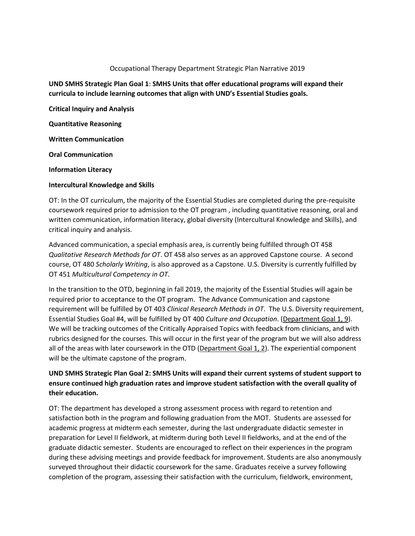#### Occupational Therapy Department Strategic Plan Narrative 2019

### **UND SMHS Strategic Plan Goal 1**: **SMHS Units that offer educational programs will expand their curricula to include learning outcomes that align with UND's Essential Studies goals.**

**Critical Inquiry and Analysis**

**Quantitative Reasoning**

**Written Communication**

**Oral Communication**

**Information Literacy**

#### **Intercultural Knowledge and Skills**

OT: In the OT curriculum, the majority of the Essential Studies are completed during the pre-requisite coursework required prior to admission to the OT program , including quantitative reasoning, oral and written communication, information literacy, global diversity (Intercultural Knowledge and Skills), and critical inquiry and analysis.

Advanced communication, a special emphasis area, is currently being fulfilled through OT 458 *Qualitative Research Methods for OT*. OT 458 also serves as an approved Capstone course. A second course, OT 480 *Scholarly Writing*, is also approved as a Capstone. U.S. Diversity is currently fulfilled by OT 451 *Multicultural Competency in OT*.

In the transition to the OTD, beginning in fall 2019, the majority of the Essential Studies will again be required prior to acceptance to the OT program. The Advance Communication and capstone requirement will be fulfilled by OT 403 *Clinical Research Methods in OT*. The U.S. Diversity requirement, Essential Studies Goal #4, will be fulfilled by OT 400 *Culture and Occupation*. (Department Goal 1, 9). We will be tracking outcomes of the Critically Appraised Topics with feedback from clinicians, and with rubrics designed for the courses. This will occur in the first year of the program but we will also address all of the areas with later coursework in the OTD (Department Goal 1, 2). The experiential component will be the ultimate capstone of the program.

## **UND SMHS Strategic Plan Goal 2: SMHS Units will expand their current systems of student support to ensure continued high graduation rates and improve student satisfaction with the overall quality of their education.**

OT: The department has developed a strong assessment process with regard to retention and satisfaction both in the program and following graduation from the MOT. Students are assessed for academic progress at midterm each semester, during the last undergraduate didactic semester in preparation for Level II fieldwork, at midterm during both Level II fieldworks, and at the end of the graduate didactic semester. Students are encouraged to reflect on their experiences in the program during these advising meetings and provide feedback for improvement. Students are also anonymously surveyed throughout their didactic coursework for the same. Graduates receive a survey following completion of the program, assessing their satisfaction with the curriculum, fieldwork, environment,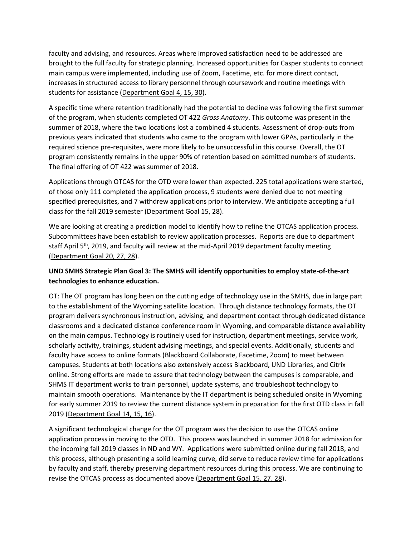faculty and advising, and resources. Areas where improved satisfaction need to be addressed are brought to the full faculty for strategic planning. Increased opportunities for Casper students to connect main campus were implemented, including use of Zoom, Facetime, etc. for more direct contact, increases in structured access to library personnel through coursework and routine meetings with students for assistance (Department Goal 4, 15, 30).

A specific time where retention traditionally had the potential to decline was following the first summer of the program, when students completed OT 422 *Gross Anatomy*. This outcome was present in the summer of 2018, where the two locations lost a combined 4 students. Assessment of drop-outs from previous years indicated that students who came to the program with lower GPAs, particularly in the required science pre-requisites, were more likely to be unsuccessful in this course. Overall, the OT program consistently remains in the upper 90% of retention based on admitted numbers of students. The final offering of OT 422 was summer of 2018.

Applications through OTCAS for the OTD were lower than expected. 225 total applications were started, of those only 111 completed the application process, 9 students were denied due to not meeting specified prerequisites, and 7 withdrew applications prior to interview. We anticipate accepting a full class for the fall 2019 semester (Department Goal 15, 28).

We are looking at creating a prediction model to identify how to refine the OTCAS application process. Subcommittees have been establish to review application processes. Reports are due to department staff April  $5<sup>th</sup>$ , 2019, and faculty will review at the mid-April 2019 department faculty meeting (Department Goal 20, 27, 28).

## **UND SMHS Strategic Plan Goal 3: The SMHS will identify opportunities to employ state-of-the-art technologies to enhance education.**

OT: The OT program has long been on the cutting edge of technology use in the SMHS, due in large part to the establishment of the Wyoming satellite location. Through distance technology formats, the OT program delivers synchronous instruction, advising, and department contact through dedicated distance classrooms and a dedicated distance conference room in Wyoming, and comparable distance availability on the main campus. Technology is routinely used for instruction, department meetings, service work, scholarly activity, trainings, student advising meetings, and special events. Additionally, students and faculty have access to online formats (Blackboard Collaborate, Facetime, Zoom) to meet between campuses. Students at both locations also extensively access Blackboard, UND Libraries, and Citrix online. Strong efforts are made to assure that technology between the campuses is comparable, and SHMS IT department works to train personnel, update systems, and troubleshoot technology to maintain smooth operations. Maintenance by the IT department is being scheduled onsite in Wyoming for early summer 2019 to review the current distance system in preparation for the first OTD class in fall 2019 (Department Goal 14, 15, 16).

A significant technological change for the OT program was the decision to use the OTCAS online application process in moving to the OTD. This process was launched in summer 2018 for admission for the incoming fall 2019 classes in ND and WY. Applications were submitted online during fall 2018, and this process, although presenting a solid learning curve, did serve to reduce review time for applications by faculty and staff, thereby preserving department resources during this process. We are continuing to revise the OTCAS process as documented above (Department Goal 15, 27, 28).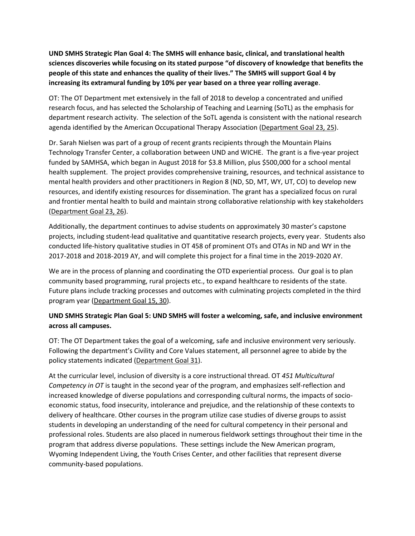**UND SMHS Strategic Plan Goal 4: The SMHS will enhance basic, clinical, and translational health sciences discoveries while focusing on its stated purpose "of discovery of knowledge that benefits the people of this state and enhances the quality of their lives." The SMHS will support Goal 4 by increasing its extramural funding by 10% per year based on a three year rolling average**.

OT: The OT Department met extensively in the fall of 2018 to develop a concentrated and unified research focus, and has selected the Scholarship of Teaching and Learning (SoTL) as the emphasis for department research activity. The selection of the SoTL agenda is consistent with the national research agenda identified by the American Occupational Therapy Association (Department Goal 23, 25).

Dr. Sarah Nielsen was part of a group of recent grants recipients through the Mountain Plains Technology Transfer Center, a collaboration between UND and WICHE. The grant is a five-year project funded by SAMHSA, which began in August 2018 for \$3.8 Million, plus \$500,000 for a school mental health supplement. The project provides comprehensive training, resources, and technical assistance to mental health providers and other practitioners in Region 8 (ND, SD, MT, WY, UT, CO) to develop new resources, and identify existing resources for dissemination. The grant has a specialized focus on rural and frontier mental health to build and maintain strong collaborative relationship with key stakeholders (Department Goal 23, 26).

Additionally, the department continues to advise students on approximately 30 master's capstone projects, including student-lead qualitative and quantitative research projects, every year. Students also conducted life-history qualitative studies in OT 458 of prominent OTs and OTAs in ND and WY in the 2017-2018 and 2018-2019 AY, and will complete this project for a final time in the 2019-2020 AY.

We are in the process of planning and coordinating the OTD experiential process. Our goal is to plan community based programming, rural projects etc., to expand healthcare to residents of the state. Future plans include tracking processes and outcomes with culminating projects completed in the third program year (Department Goal 15, 30).

## **UND SMHS Strategic Plan Goal 5: UND SMHS will foster a welcoming, safe, and inclusive environment across all campuses.**

OT: The OT Department takes the goal of a welcoming, safe and inclusive environment very seriously. Following the department's Civility and Core Values statement, all personnel agree to abide by the policy statements indicated (Department Goal 31).

At the curricular level, inclusion of diversity is a core instructional thread. OT *451 Multicultural Competency in OT* is taught in the second year of the program, and emphasizes self-reflection and increased knowledge of diverse populations and corresponding cultural norms, the impacts of socioeconomic status, food insecurity, intolerance and prejudice, and the relationship of these contexts to delivery of healthcare. Other courses in the program utilize case studies of diverse groups to assist students in developing an understanding of the need for cultural competency in their personal and professional roles. Students are also placed in numerous fieldwork settings throughout their time in the program that address diverse populations. These settings include the New American program, Wyoming Independent Living, the Youth Crises Center, and other facilities that represent diverse community-based populations.